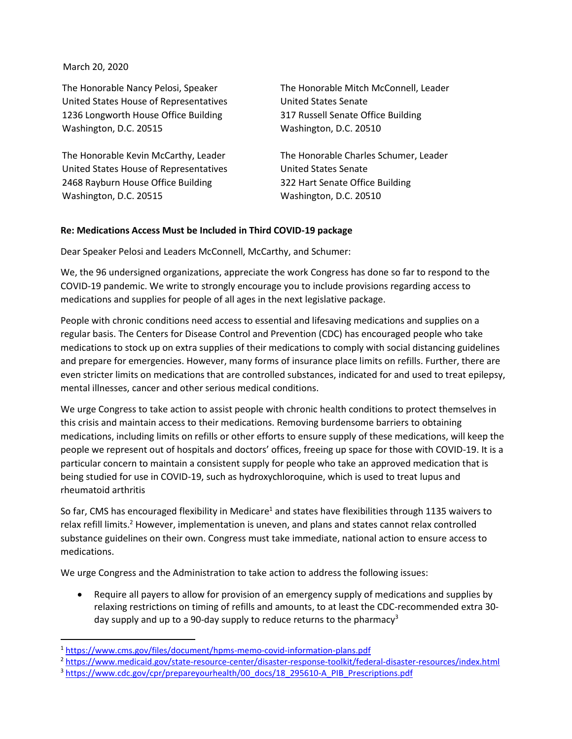## March 20, 2020

The Honorable Nancy Pelosi, Speaker United States House of Representatives 1236 Longworth House Office Building Washington, D.C. 20515

The Honorable Kevin McCarthy, Leader United States House of Representatives 2468 Rayburn House Office Building Washington, D.C. 20515

The Honorable Mitch McConnell, Leader United States Senate 317 Russell Senate Office Building Washington, D.C. 20510

The Honorable Charles Schumer, Leader United States Senate 322 Hart Senate Office Building Washington, D.C. 20510

## **Re: Medications Access Must be Included in Third COVID-19 package**

Dear Speaker Pelosi and Leaders McConnell, McCarthy, and Schumer:

We, the 96 undersigned organizations, appreciate the work Congress has done so far to respond to the COVID-19 pandemic. We write to strongly encourage you to include provisions regarding access to medications and supplies for people of all ages in the next legislative package.

People with chronic conditions need access to essential and lifesaving medications and supplies on a regular basis. The Centers for Disease Control and Prevention (CDC) has encouraged people who take medications to stock up on extra supplies of their medications to comply with social distancing guidelines and prepare for emergencies. However, many forms of insurance place limits on refills. Further, there are even stricter limits on medications that are controlled substances, indicated for and used to treat epilepsy, mental illnesses, cancer and other serious medical conditions.

We urge Congress to take action to assist people with chronic health conditions to protect themselves in this crisis and maintain access to their medications. Removing burdensome barriers to obtaining medications, including limits on refills or other efforts to ensure supply of these medications, will keep the people we represent out of hospitals and doctors' offices, freeing up space for those with COVID-19. It is a particular concern to maintain a consistent supply for people who take an approved medication that is being studied for use in COVID-19, such as hydroxychloroquine, which is used to treat lupus and rheumatoid arthritis

So far, CMS has encouraged flexibility in Medicare<sup>1</sup> and states have flexibilities through 1135 waivers to relax refill limits.<sup>2</sup> However, implementation is uneven, and plans and states cannot relax controlled substance guidelines on their own. Congress must take immediate, national action to ensure access to medications.

We urge Congress and the Administration to take action to address the following issues:

• Require all payers to allow for provision of an emergency supply of medications and supplies by relaxing restrictions on timing of refills and amounts, to at least the CDC-recommended extra 30 day supply and up to a 90-day supply to reduce returns to the pharmacy<sup>3</sup>

<sup>&</sup>lt;sup>1</sup> <https://www.cms.gov/files/document/hpms-memo-covid-information-plans.pdf>

<sup>&</sup>lt;sup>2</sup> <https://www.medicaid.gov/state-resource-center/disaster-response-toolkit/federal-disaster-resources/index.html> <sup>3</sup> [https://www.cdc.gov/cpr/prepareyourhealth/00\\_docs/18\\_295610-A\\_PIB\\_Prescriptions.pdf](https://www.cdc.gov/cpr/prepareyourhealth/00_docs/18_295610-A_PIB_Prescriptions.pdf)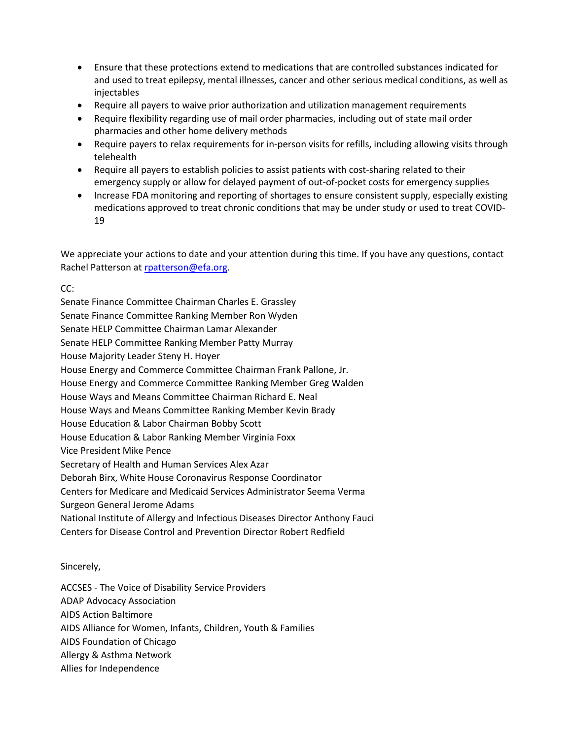- Ensure that these protections extend to medications that are controlled substances indicated for and used to treat epilepsy, mental illnesses, cancer and other serious medical conditions, as well as injectables
- Require all payers to waive prior authorization and utilization management requirements
- Require flexibility regarding use of mail order pharmacies, including out of state mail order pharmacies and other home delivery methods
- Require payers to relax requirements for in-person visits for refills, including allowing visits through telehealth
- Require all payers to establish policies to assist patients with cost-sharing related to their emergency supply or allow for delayed payment of out-of-pocket costs for emergency supplies
- Increase FDA monitoring and reporting of shortages to ensure consistent supply, especially existing medications approved to treat chronic conditions that may be under study or used to treat COVID-19

We appreciate your actions to date and your attention during this time. If you have any questions, contact Rachel Patterson a[t rpatterson@efa.org.](mailto:rpatterson@efa.org)

## CC:

Senate Finance Committee Chairman Charles E. Grassley Senate Finance Committee Ranking Member Ron Wyden Senate HELP Committee Chairman Lamar Alexander Senate HELP Committee Ranking Member Patty Murray House Majority Leader Steny H. Hoyer House Energy and Commerce Committee Chairman Frank Pallone, Jr. House Energy and Commerce Committee Ranking Member Greg Walden House Ways and Means Committee Chairman Richard E. Neal House Ways and Means Committee Ranking Member Kevin Brady House Education & Labor Chairman Bobby Scott House Education & Labor Ranking Member Virginia Foxx Vice President Mike Pence Secretary of Health and Human Services Alex Azar Deborah Birx, White House Coronavirus Response Coordinator Centers for Medicare and Medicaid Services Administrator Seema Verma Surgeon General Jerome Adams National Institute of Allergy and Infectious Diseases Director Anthony Fauci Centers for Disease Control and Prevention Director Robert Redfield

## Sincerely,

ACCSES - The Voice of Disability Service Providers ADAP Advocacy Association AIDS Action Baltimore AIDS Alliance for Women, Infants, Children, Youth & Families AIDS Foundation of Chicago Allergy & Asthma Network Allies for Independence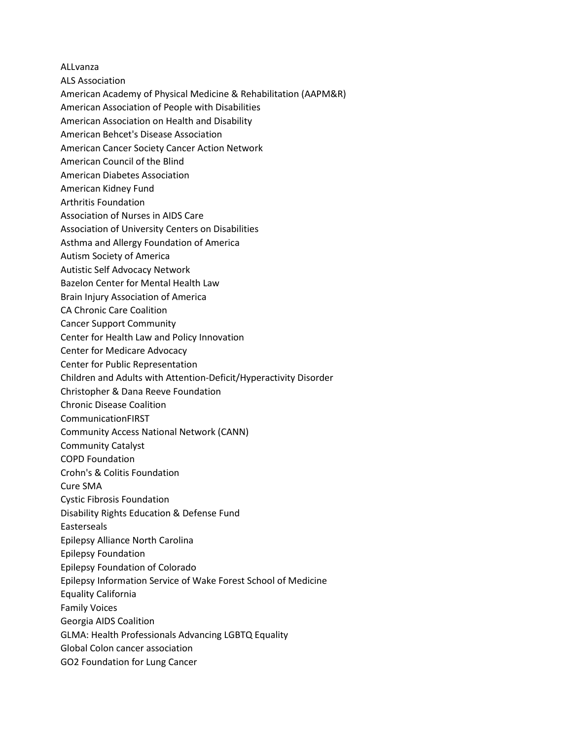ALLvanza

- ALS Association
- American Academy of Physical Medicine & Rehabilitation (AAPM&R)
- American Association of People with Disabilities
- American Association on Health and Disability
- American Behcet's Disease Association
- American Cancer Society Cancer Action Network
- American Council of the Blind
- American Diabetes Association
- American Kidney Fund
- Arthritis Foundation
- Association of Nurses in AIDS Care
- Association of University Centers on Disabilities
- Asthma and Allergy Foundation of America
- Autism Society of America
- Autistic Self Advocacy Network
- Bazelon Center for Mental Health Law
- Brain Injury Association of America
- CA Chronic Care Coalition
- Cancer Support Community
- Center for Health Law and Policy Innovation
- Center for Medicare Advocacy
- Center for Public Representation
- Children and Adults with Attention-Deficit/Hyperactivity Disorder
- Christopher & Dana Reeve Foundation
- Chronic Disease Coalition
- CommunicationFIRST
- Community Access National Network (CANN)
- Community Catalyst
- COPD Foundation
- Crohn's & Colitis Foundation
- Cure SMA
- Cystic Fibrosis Foundation
- Disability Rights Education & Defense Fund
- Easterseals
- Epilepsy Alliance North Carolina
- Epilepsy Foundation
- Epilepsy Foundation of Colorado
- Epilepsy Information Service of Wake Forest School of Medicine
- Equality California
- Family Voices
- Georgia AIDS Coalition
- GLMA: Health Professionals Advancing LGBTQ Equality
- Global Colon cancer association
- GO2 Foundation for Lung Cancer